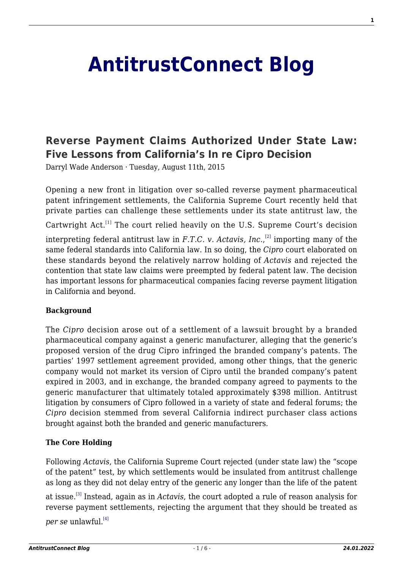# **[AntitrustConnect Blog](http://antitrustconnect.com/)**

# **[Reverse Payment Claims Authorized Under State Law:](http://antitrustconnect.com/2015/08/11/reverse-payment-claims-authorized-under-state-law-five-lessons-from-californias-in-re-cipro-decision/) [Five Lessons from California's In re Cipro Decision](http://antitrustconnect.com/2015/08/11/reverse-payment-claims-authorized-under-state-law-five-lessons-from-californias-in-re-cipro-decision/)**

Darryl Wade Anderson · Tuesday, August 11th, 2015

Opening a new front in litigation over so-called reverse payment pharmaceutical patent infringement settlements, the California Supreme Court recently held that private parties can challenge these settlements under its state antitrust law, the

Cartwright Act.<sup>[\[1\]](#page-4-0)</sup> The court relied heavily on the U.S. Supreme Court's decision

interpreting federal antitrust law in *F.T.C. v. Actavis, Inc*., [\[2\]](#page-4-1) importing many of the same federal standards into California law. In so doing, the *Cipro* court elaborated on these standards beyond the relatively narrow holding of *Actavis* and rejected the contention that state law claims were preempted by federal patent law. The decision has important lessons for pharmaceutical companies facing reverse payment litigation in California and beyond.

#### **Background**

The *Cipro* decision arose out of a settlement of a lawsuit brought by a branded pharmaceutical company against a generic manufacturer, alleging that the generic's proposed version of the drug Cipro infringed the branded company's patents. The parties' 1997 settlement agreement provided, among other things, that the generic company would not market its version of Cipro until the branded company's patent expired in 2003, and in exchange, the branded company agreed to payments to the generic manufacturer that ultimately totaled approximately \$398 million. Antitrust litigation by consumers of Cipro followed in a variety of state and federal forums; the *Cipro* decision stemmed from several California indirect purchaser class actions brought against both the branded and generic manufacturers.

#### **The Core Holding**

Following *Actavis*, the California Supreme Court rejected (under state law) the "scope of the patent" test, by which settlements would be insulated from antitrust challenge as long as they did not delay entry of the generic any longer than the life of the patent

at issue.[\[3\]](#page-4-2) Instead, again as in *Actavis*, the court adopted a rule of reason analysis for reverse payment settlements, rejecting the argument that they should be treated as

*per se* unlawful.<sup>[\[4\]](#page-4-3)</sup>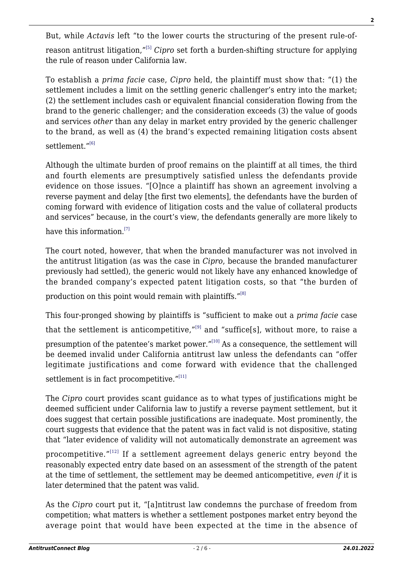But, while *Actavis* left "to the lower courts the structuring of the present rule-ofreason antitrust litigation,"[\[5\]](#page-4-4) *Cipro* set forth a burden-shifting structure for applying the rule of reason under California law.

To establish a *prima facie* case, *Cipro* held, the plaintiff must show that: "(1) the settlement includes a limit on the settling generic challenger's entry into the market; (2) the settlement includes cash or equivalent financial consideration flowing from the brand to the generic challenger; and the consideration exceeds (3) the value of goods and services *other* than any delay in market entry provided by the generic challenger to the brand, as well as (4) the brand's expected remaining litigation costs absent settlement."<sup>[\[6\]](#page-4-5)</sup>

Although the ultimate burden of proof remains on the plaintiff at all times, the third and fourth elements are presumptively satisfied unless the defendants provide evidence on those issues. "[O]nce a plaintiff has shown an agreement involving a reverse payment and delay [the first two elements], the defendants have the burden of coming forward with evidence of litigation costs and the value of collateral products and services" because, in the court's view, the defendants generally are more likely to

have this information.<sup>[\[7\]](#page-4-6)</sup>

The court noted, however, that when the branded manufacturer was not involved in the antitrust litigation (as was the case in *Cipro*, because the branded manufacturer previously had settled), the generic would not likely have any enhanced knowledge of the branded company's expected patent litigation costs, so that "the burden of

production on this point would remain with plaintiffs."<sup>[\[8\]](#page-4-7)</sup>

This four-pronged showing by plaintiffs is "sufficient to make out a *prima facie* case that the settlement is anticompetitive," $[9]$  and "suffice[s], without more, to raise a presumption of the patentee's market power." $[10]$  As a consequence, the settlement will be deemed invalid under California antitrust law unless the defendants can "offer legitimate justifications and come forward with evidence that the challenged

settlement is in fact procompetitive."[\[11\]](#page-4-10)

The *Cipro* court provides scant guidance as to what types of justifications might be deemed sufficient under California law to justify a reverse payment settlement, but it does suggest that certain possible justifications are inadequate. Most prominently, the court suggests that evidence that the patent was in fact valid is not dispositive, stating that "later evidence of validity will not automatically demonstrate an agreement was

procompetitive. $^{\prime\prime\,(12)}$  If a settlement agreement delays generic entry beyond the reasonably expected entry date based on an assessment of the strength of the patent at the time of settlement, the settlement may be deemed anticompetitive, *even if* it is later determined that the patent was valid.

As the *Cipro* court put it, "[a]ntitrust law condemns the purchase of freedom from competition; what matters is whether a settlement postpones market entry beyond the average point that would have been expected at the time in the absence of **2**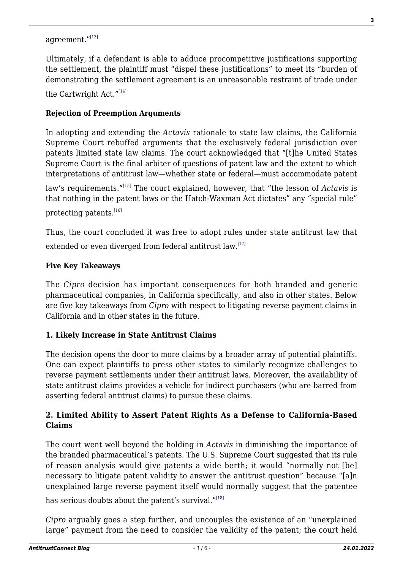# agreement."[\[13\]](#page-4-12)

Ultimately, if a defendant is able to adduce procompetitive justifications supporting the settlement, the plaintiff must "dispel these justifications" to meet its "burden of demonstrating the settlement agreement is an unreasonable restraint of trade under

the Cartwright Act."[\[14\]](#page-4-13)

#### **Rejection of Preemption Arguments**

In adopting and extending the *Actavis* rationale to state law claims, the California Supreme Court rebuffed arguments that the exclusively federal jurisdiction over patents limited state law claims. The court acknowledged that "[t]he United States Supreme Court is the final arbiter of questions of patent law and the extent to which interpretations of antitrust law—whether state or federal—must accommodate patent

law's requirements."[\[15\]](#page-4-14) The court explained, however, that "the lesson of *Actavis* is that nothing in the patent laws or the Hatch-Waxman Act dictates" any "special rule" protecting patents.[\[16\]](#page-5-0)

Thus, the court concluded it was free to adopt rules under state antitrust law that extended or even diverged from federal antitrust law.<sup>[\[17\]](#page-5-1)</sup>

#### **Five Key Takeaways**

The *Cipro* decision has important consequences for both branded and generic pharmaceutical companies, in California specifically, and also in other states. Below are five key takeaways from *Cipro* with respect to litigating reverse payment claims in California and in other states in the future.

#### **1. Likely Increase in State Antitrust Claims**

The decision opens the door to more claims by a broader array of potential plaintiffs. One can expect plaintiffs to press other states to similarly recognize challenges to reverse payment settlements under their antitrust laws. Moreover, the availability of state antitrust claims provides a vehicle for indirect purchasers (who are barred from asserting federal antitrust claims) to pursue these claims.

#### **2. Limited Ability to Assert Patent Rights As a Defense to California-Based Claims**

The court went well beyond the holding in *Actavis* in diminishing the importance of the branded pharmaceutical's patents. The U.S. Supreme Court suggested that its rule of reason analysis would give patents a wide berth; it would "normally not [be] necessary to litigate patent validity to answer the antitrust question" because "[a]n unexplained large reverse payment itself would normally suggest that the patentee

has serious doubts about the patent's survival."<sup>[\[18\]](#page-5-2)</sup>

*Cipro* arguably goes a step further, and uncouples the existence of an "unexplained large" payment from the need to consider the validity of the patent; the court held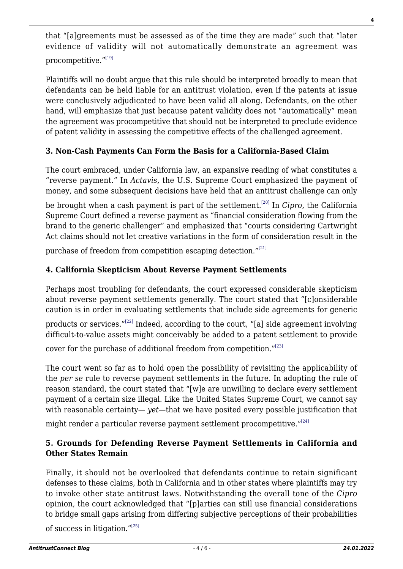that "[a]greements must be assessed as of the time they are made" such that "later evidence of validity will not automatically demonstrate an agreement was procompetitive."[\[19\]](#page-5-3)

Plaintiffs will no doubt argue that this rule should be interpreted broadly to mean that defendants can be held liable for an antitrust violation, even if the patents at issue were conclusively adjudicated to have been valid all along. Defendants, on the other hand, will emphasize that just because patent validity does not "automatically" mean the agreement was procompetitive that should not be interpreted to preclude evidence of patent validity in assessing the competitive effects of the challenged agreement.

# **3. Non-Cash Payments Can Form the Basis for a California-Based Claim**

The court embraced, under California law, an expansive reading of what constitutes a "reverse payment." In *Actavis*, the U.S. Supreme Court emphasized the payment of money, and some subsequent decisions have held that an antitrust challenge can only

be brought when a cash payment is part of the settlement.<sup>[\[20\]](#page-5-4)</sup> In *Cipro*, the California Supreme Court defined a reverse payment as "financial consideration flowing from the brand to the generic challenger" and emphasized that "courts considering Cartwright Act claims should not let creative variations in the form of consideration result in the

purchase of freedom from competition escaping detection."<sup>[\[21\]](#page-5-5)</sup>

# **4. California Skepticism About Reverse Payment Settlements**

Perhaps most troubling for defendants, the court expressed considerable skepticism about reverse payment settlements generally. The court stated that "[c]onsiderable caution is in order in evaluating settlements that include side agreements for generic

products or services."<sup>[\[22\]](#page-5-6)</sup> Indeed, according to the court, "[a] side agreement involving difficult-to-value assets might conceivably be added to a patent settlement to provide

cover for the purchase of additional freedom from competition."[\[23\]](#page-5-7)

The court went so far as to hold open the possibility of revisiting the applicability of the *per se* rule to reverse payment settlements in the future. In adopting the rule of reason standard, the court stated that "[w]e are unwilling to declare every settlement payment of a certain size illegal. Like the United States Supreme Court, we cannot say with reasonable certainty— *yet—*that we have posited every possible justification that

might render a particular reverse payment settlement procompetitive."<sup>[\[24\]](#page-5-8)</sup>

# **5. Grounds for Defending Reverse Payment Settlements in California and Other States Remain**

Finally, it should not be overlooked that defendants continue to retain significant defenses to these claims, both in California and in other states where plaintiffs may try to invoke other state antitrust laws. Notwithstanding the overall tone of the *Cipro* opinion, the court acknowledged that "[p]arties can still use financial considerations to bridge small gaps arising from differing subjective perceptions of their probabilities

of success in litigation."[\[25\]](#page-5-9)

**4**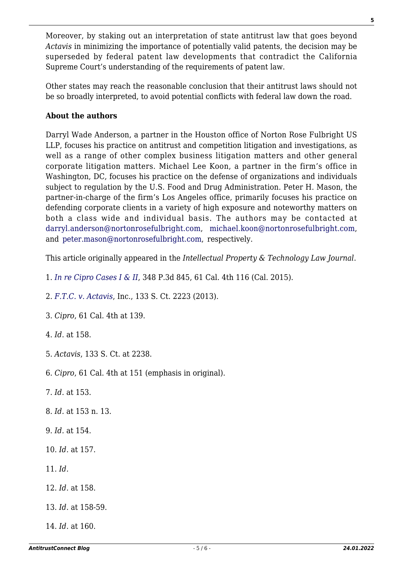Moreover, by staking out an interpretation of state antitrust law that goes beyond *Actavis* in minimizing the importance of potentially valid patents, the decision may be superseded by federal patent law developments that contradict the California Supreme Court's understanding of the requirements of patent law.

Other states may reach the reasonable conclusion that their antitrust laws should not be so broadly interpreted, to avoid potential conflicts with federal law down the road.

#### **About the authors**

Darryl Wade Anderson, a partner in the Houston office of Norton Rose Fulbright US LLP, focuses his practice on antitrust and competition litigation and investigations, as well as a range of other complex business litigation matters and other general corporate litigation matters. Michael Lee Koon, a partner in the firm's office in Washington, DC, focuses his practice on the defense of organizations and individuals subject to regulation by the U.S. Food and Drug Administration. Peter H. Mason, the partner-in-charge of the firm's Los Angeles office, primarily focuses his practice on defending corporate clients in a variety of high exposure and noteworthy matters on both a class wide and individual basis. The authors may be contacted at [darryl.anderson@nortonrosefulbright.com,](mailto:darryl.anderson@nortonrosefulbright.com) [michael.koon@nortonrosefulbright.com](mailto:michael.koon@nortonrosefulbright.com), and [peter.mason@nortonrosefulbright.com,](mailto:peter.mason@nortonrosefulbright.com) respectively.

This article originally appeared in the *Intellectual Property & Technology Law Journal*.

<span id="page-4-0"></span>1. *[In re Cipro Cases I & II](http://business.cch.com/ald/InreCiproCasesI&II05072015.pdf)*, 348 P.3d 845, 61 Cal. 4th 116 (Cal. 2015).

<span id="page-4-1"></span>2. *[F.T.C. v. Actavis](http://business.cch.com/ald/FTCvActavis20130617.pdf)*, Inc., 133 S. Ct. 2223 (2013).

<span id="page-4-2"></span>3. *Cipro*, 61 Cal. 4th at 139.

<span id="page-4-3"></span>4. *Id*. at 158.

<span id="page-4-4"></span>5. *Actavis*, 133 S. Ct. at 2238.

<span id="page-4-5"></span>6. *Cipro*, 61 Cal. 4th at 151 (emphasis in original).

<span id="page-4-6"></span>7. *Id.* at 153.

<span id="page-4-7"></span>8. *Id.* at 153 n. 13.

<span id="page-4-8"></span>9. *Id.* at 154.

<span id="page-4-9"></span>10. *Id.* at 157.

<span id="page-4-10"></span>11. *Id.*

<span id="page-4-11"></span>12. *Id.* at 158.

<span id="page-4-12"></span>13. *Id.* at 158-59.

<span id="page-4-14"></span><span id="page-4-13"></span>14. *Id.* at 160.

**5**